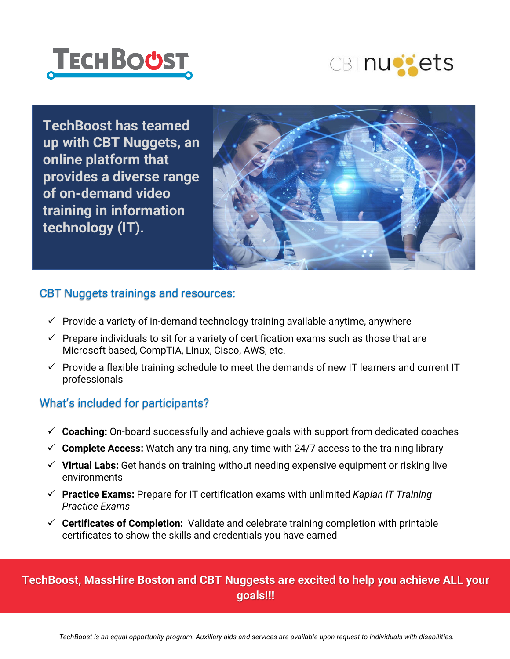



**TechBoost has teamed up with CBT Nuggets, an online platform that provides a diverse range of on-demand video training in information technology (IT).**



#### CBT Nuggets trainings and resources:

- $\checkmark$  Provide a variety of in-demand technology training available anytime, anywhere
- $\checkmark$  Prepare individuals to sit for a variety of certification exams such as those that are Microsoft based, CompTIA, Linux, Cisco, AWS, etc.
- $\checkmark$  Provide a flexible training schedule to meet the demands of new IT learners and current IT professionals

#### What's included for participants?

- **Coaching:** On-board successfully and achieve goals with support from dedicated coaches
- $\checkmark$  Complete Access: Watch any training, any time with 24/7 access to the training library
- **Virtual Labs:** Get hands on training without needing expensive equipment or risking live environments
- **Practice Exams:** Prepare for IT certification exams with unlimited *Kaplan IT Training Practice Exams*
- **Certificates of Completion:** Validate and celebrate training completion with printable certificates to show the skills and credentials you have earned

### **TechBoost, MassHire Boston and CBT Nuggests are excited to help you achieve ALL your goals!!!**